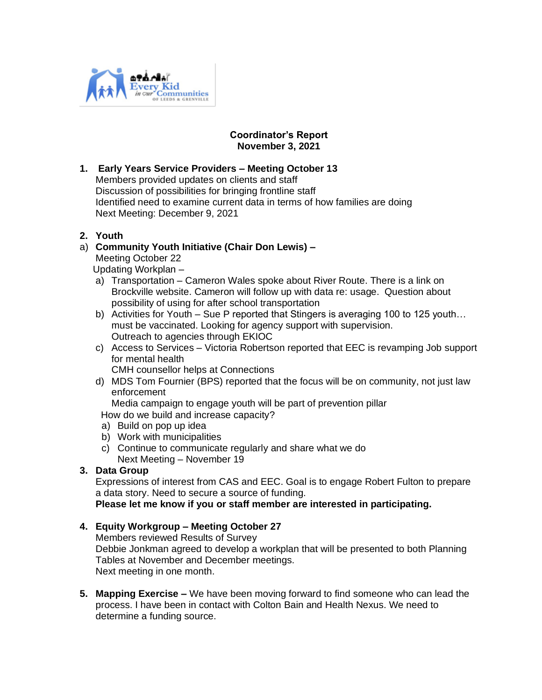

## **Coordinator's Report November 3, 2021**

## **1. Early Years Service Providers – Meeting October 13**

Members provided updates on clients and staff Discussion of possibilities for bringing frontline staff Identified need to examine current data in terms of how families are doing Next Meeting: December 9, 2021

# **2. Youth**

# a) **Community Youth Initiative (Chair Don Lewis) –**

Meeting October 22

Updating Workplan –

- a) Transportation Cameron Wales spoke about River Route. There is a link on Brockville website. Cameron will follow up with data re: usage. Question about possibility of using for after school transportation
- b) Activities for Youth Sue P reported that Stingers is averaging 100 to 125 youth… must be vaccinated. Looking for agency support with supervision. Outreach to agencies through EKIOC
- c) Access to Services Victoria Robertson reported that EEC is revamping Job support for mental health

CMH counsellor helps at Connections

d) MDS Tom Fournier (BPS) reported that the focus will be on community, not just law enforcement

Media campaign to engage youth will be part of prevention pillar

How do we build and increase capacity?

- a) Build on pop up idea
- b) Work with municipalities
- c) Continue to communicate regularly and share what we do Next Meeting – November 19
- **3. Data Group**

Expressions of interest from CAS and EEC. Goal is to engage Robert Fulton to prepare a data story. Need to secure a source of funding.

**Please let me know if you or staff member are interested in participating.**

### **4. Equity Workgroup – Meeting October 27**

Members reviewed Results of Survey Debbie Jonkman agreed to develop a workplan that will be presented to both Planning Tables at November and December meetings. Next meeting in one month.

**5. Mapping Exercise –** We have been moving forward to find someone who can lead the process. I have been in contact with Colton Bain and Health Nexus. We need to determine a funding source.